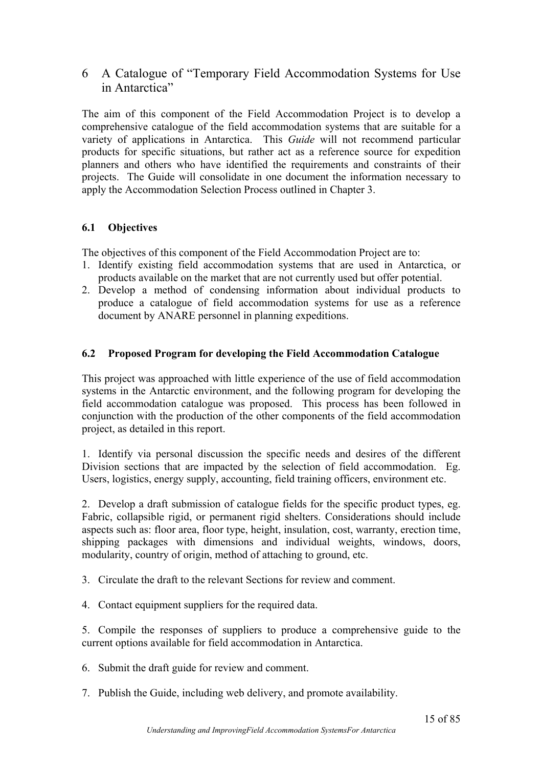6 A Catalogue of "Temporary Field Accommodation Systems for Use in Antarctica"

The aim of this component of the Field Accommodation Project is to develop a comprehensive catalogue of the field accommodation systems that are suitable for a variety of applications in Antarctica. This *Guide* will not recommend particular products for specific situations, but rather act as a reference source for expedition planners and others who have identified the requirements and constraints of their projects. The Guide will consolidate in one document the information necessary to apply the Accommodation Selection Process outlined in Chapter 3.

# **6.1 Objectives**

The objectives of this component of the Field Accommodation Project are to:

- 1. Identify existing field accommodation systems that are used in Antarctica, or products available on the market that are not currently used but offer potential.
- 2. Develop a method of condensing information about individual products to produce a catalogue of field accommodation systems for use as a reference document by ANARE personnel in planning expeditions.

### **6.2 Proposed Program for developing the Field Accommodation Catalogue**

This project was approached with little experience of the use of field accommodation systems in the Antarctic environment, and the following program for developing the field accommodation catalogue was proposed. This process has been followed in conjunction with the production of the other components of the field accommodation project, as detailed in this report.

1. Identify via personal discussion the specific needs and desires of the different Division sections that are impacted by the selection of field accommodation. Eg. Users, logistics, energy supply, accounting, field training officers, environment etc.

2. Develop a draft submission of catalogue fields for the specific product types, eg. Fabric, collapsible rigid, or permanent rigid shelters. Considerations should include aspects such as: floor area, floor type, height, insulation, cost, warranty, erection time, shipping packages with dimensions and individual weights, windows, doors, modularity, country of origin, method of attaching to ground, etc.

- 3. Circulate the draft to the relevant Sections for review and comment.
- 4. Contact equipment suppliers for the required data.

5. Compile the responses of suppliers to produce a comprehensive guide to the current options available for field accommodation in Antarctica.

- 6. Submit the draft guide for review and comment.
- 7. Publish the Guide, including web delivery, and promote availability.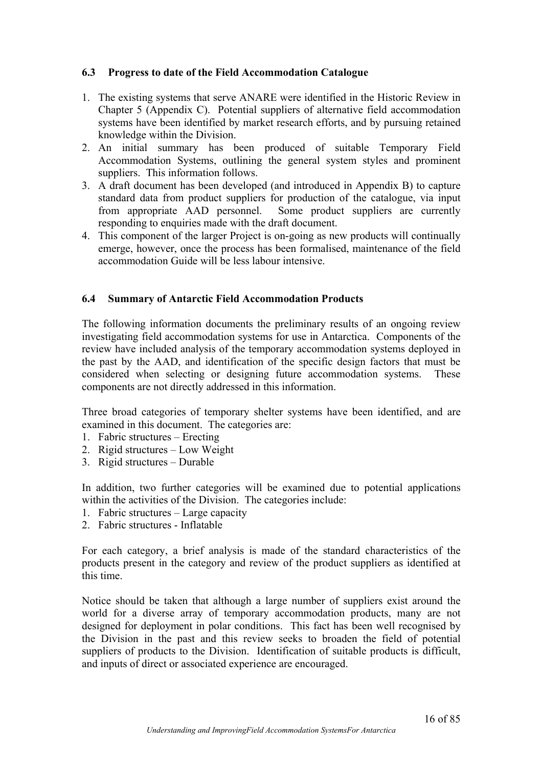## **6.3 Progress to date of the Field Accommodation Catalogue**

- 1. The existing systems that serve ANARE were identified in the Historic Review in Chapter 5 (Appendix C). Potential suppliers of alternative field accommodation systems have been identified by market research efforts, and by pursuing retained knowledge within the Division.
- 2. An initial summary has been produced of suitable Temporary Field Accommodation Systems, outlining the general system styles and prominent suppliers. This information follows.
- 3. A draft document has been developed (and introduced in Appendix B) to capture standard data from product suppliers for production of the catalogue, via input from appropriate AAD personnel. Some product suppliers are currently responding to enquiries made with the draft document.
- 4. This component of the larger Project is on-going as new products will continually emerge, however, once the process has been formalised, maintenance of the field accommodation Guide will be less labour intensive.

### **6.4 Summary of Antarctic Field Accommodation Products**

The following information documents the preliminary results of an ongoing review investigating field accommodation systems for use in Antarctica. Components of the review have included analysis of the temporary accommodation systems deployed in the past by the AAD, and identification of the specific design factors that must be considered when selecting or designing future accommodation systems. These components are not directly addressed in this information.

Three broad categories of temporary shelter systems have been identified, and are examined in this document. The categories are:

- 1. Fabric structures Erecting
- 2. Rigid structures Low Weight
- 3. Rigid structures Durable

In addition, two further categories will be examined due to potential applications within the activities of the Division. The categories include:

- 1. Fabric structures Large capacity
- 2. Fabric structures Inflatable

For each category, a brief analysis is made of the standard characteristics of the products present in the category and review of the product suppliers as identified at this time.

Notice should be taken that although a large number of suppliers exist around the world for a diverse array of temporary accommodation products, many are not designed for deployment in polar conditions. This fact has been well recognised by the Division in the past and this review seeks to broaden the field of potential suppliers of products to the Division. Identification of suitable products is difficult, and inputs of direct or associated experience are encouraged.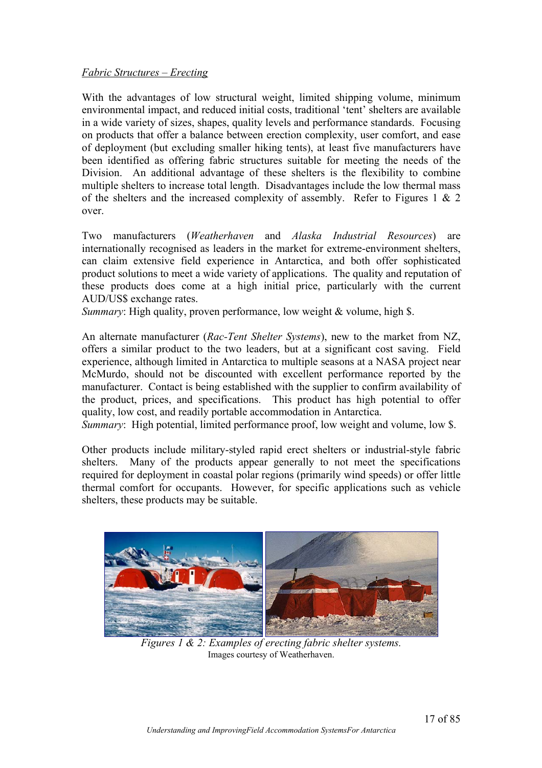### *Fabric Structures – Erecting*

With the advantages of low structural weight, limited shipping volume, minimum environmental impact, and reduced initial costs, traditional 'tent' shelters are available in a wide variety of sizes, shapes, quality levels and performance standards. Focusing on products that offer a balance between erection complexity, user comfort, and ease of deployment (but excluding smaller hiking tents), at least five manufacturers have been identified as offering fabric structures suitable for meeting the needs of the Division. An additional advantage of these shelters is the flexibility to combine multiple shelters to increase total length. Disadvantages include the low thermal mass of the shelters and the increased complexity of assembly. Refer to Figures 1 & 2 over.

Two manufacturers (*Weatherhaven* and *Alaska Industrial Resources*) are internationally recognised as leaders in the market for extreme-environment shelters, can claim extensive field experience in Antarctica, and both offer sophisticated product solutions to meet a wide variety of applications. The quality and reputation of these products does come at a high initial price, particularly with the current AUD/US\$ exchange rates.

*Summary*: High quality, proven performance, low weight & volume, high \$.

An alternate manufacturer (*Rac-Tent Shelter Systems*), new to the market from NZ, offers a similar product to the two leaders, but at a significant cost saving. Field experience, although limited in Antarctica to multiple seasons at a NASA project near McMurdo, should not be discounted with excellent performance reported by the manufacturer. Contact is being established with the supplier to confirm availability of the product, prices, and specifications. This product has high potential to offer quality, low cost, and readily portable accommodation in Antarctica.

*Summary*: High potential, limited performance proof, low weight and volume, low \$.

Other products include military-styled rapid erect shelters or industrial-style fabric shelters. Many of the products appear generally to not meet the specifications required for deployment in coastal polar regions (primarily wind speeds) or offer little thermal comfort for occupants. However, for specific applications such as vehicle shelters, these products may be suitable.



*Figures 1 & 2: Examples of erecting fabric shelter systems.* Images courtesy of Weatherhaven.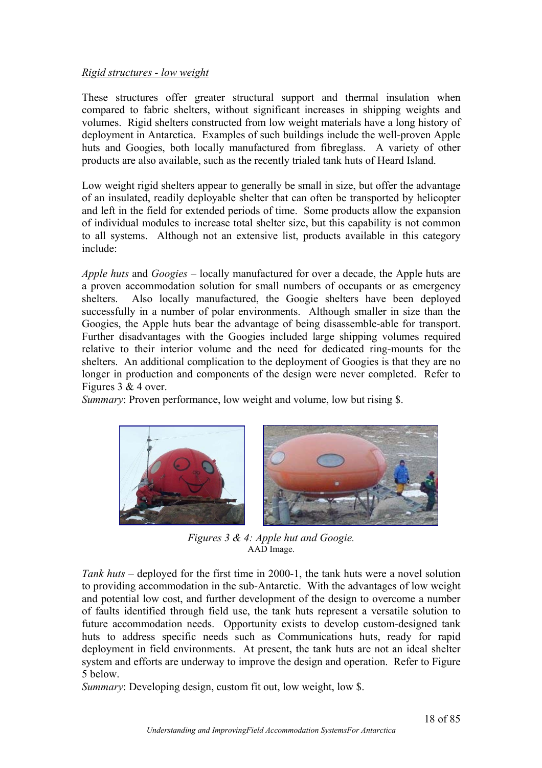### *Rigid structures - low weight*

These structures offer greater structural support and thermal insulation when compared to fabric shelters, without significant increases in shipping weights and volumes. Rigid shelters constructed from low weight materials have a long history of deployment in Antarctica. Examples of such buildings include the well-proven Apple huts and Googies, both locally manufactured from fibreglass. A variety of other products are also available, such as the recently trialed tank huts of Heard Island.

Low weight rigid shelters appear to generally be small in size, but offer the advantage of an insulated, readily deployable shelter that can often be transported by helicopter and left in the field for extended periods of time. Some products allow the expansion of individual modules to increase total shelter size, but this capability is not common to all systems. Although not an extensive list, products available in this category include:

*Apple huts* and *Googies* – locally manufactured for over a decade, the Apple huts are a proven accommodation solution for small numbers of occupants or as emergency shelters. Also locally manufactured, the Googie shelters have been deployed successfully in a number of polar environments. Although smaller in size than the Googies, the Apple huts bear the advantage of being disassemble-able for transport. Further disadvantages with the Googies included large shipping volumes required relative to their interior volume and the need for dedicated ring-mounts for the shelters. An additional complication to the deployment of Googies is that they are no longer in production and components of the design were never completed. Refer to Figures 3 & 4 over.

*Summary:* Proven performance, low weight and volume, low but rising \$.



*Figures 3 & 4: Apple hut and Googie.*  AAD Image.

*Tank huts* – deployed for the first time in 2000-1, the tank huts were a novel solution to providing accommodation in the sub-Antarctic. With the advantages of low weight and potential low cost, and further development of the design to overcome a number of faults identified through field use, the tank huts represent a versatile solution to future accommodation needs. Opportunity exists to develop custom-designed tank huts to address specific needs such as Communications huts, ready for rapid deployment in field environments. At present, the tank huts are not an ideal shelter system and efforts are underway to improve the design and operation. Refer to Figure 5 below.

*Summary*: Developing design, custom fit out, low weight, low \$.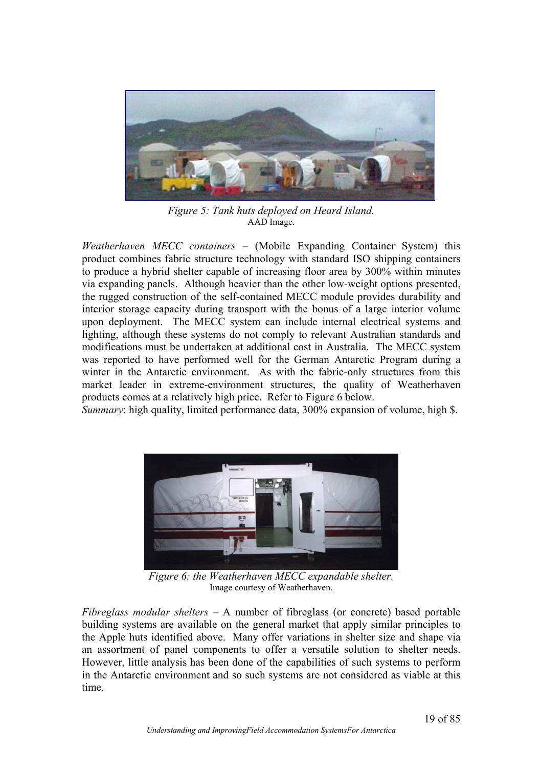

*Figure 5: Tank huts deployed on Heard Island.* AAD Image.

*Weatherhaven MECC containers* – (Mobile Expanding Container System) this product combines fabric structure technology with standard ISO shipping containers to produce a hybrid shelter capable of increasing floor area by 300% within minutes via expanding panels. Although heavier than the other low-weight options presented, the rugged construction of the self-contained MECC module provides durability and interior storage capacity during transport with the bonus of a large interior volume upon deployment. The MECC system can include internal electrical systems and lighting, although these systems do not comply to relevant Australian standards and modifications must be undertaken at additional cost in Australia. The MECC system was reported to have performed well for the German Antarctic Program during a winter in the Antarctic environment. As with the fabric-only structures from this market leader in extreme-environment structures, the quality of Weatherhaven products comes at a relatively high price. Refer to Figure 6 below.

*Summary*: high quality, limited performance data, 300% expansion of volume, high \$.



*Figure 6: the Weatherhaven MECC expandable shelter.*  Image courtesy of Weatherhaven.

*Fibreglass modular shelters* – A number of fibreglass (or concrete) based portable building systems are available on the general market that apply similar principles to the Apple huts identified above. Many offer variations in shelter size and shape via an assortment of panel components to offer a versatile solution to shelter needs. However, little analysis has been done of the capabilities of such systems to perform in the Antarctic environment and so such systems are not considered as viable at this time.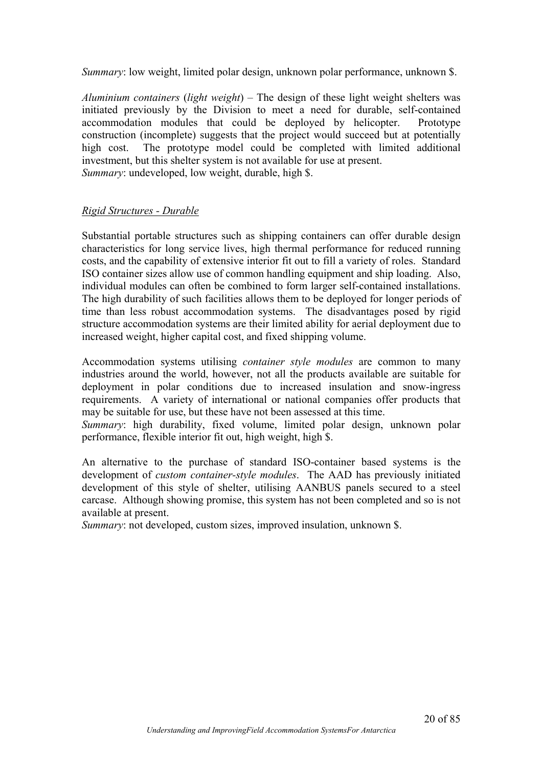*Summary*: low weight, limited polar design, unknown polar performance, unknown \$.

*Aluminium containers* (*light weight*) – The design of these light weight shelters was initiated previously by the Division to meet a need for durable, self-contained accommodation modules that could be deployed by helicopter. Prototype construction (incomplete) suggests that the project would succeed but at potentially high cost. The prototype model could be completed with limited additional investment, but this shelter system is not available for use at present. *Summary*: undeveloped, low weight, durable, high \$.

### *Rigid Structures - Durable*

Substantial portable structures such as shipping containers can offer durable design characteristics for long service lives, high thermal performance for reduced running costs, and the capability of extensive interior fit out to fill a variety of roles. Standard ISO container sizes allow use of common handling equipment and ship loading. Also, individual modules can often be combined to form larger self-contained installations. The high durability of such facilities allows them to be deployed for longer periods of time than less robust accommodation systems. The disadvantages posed by rigid structure accommodation systems are their limited ability for aerial deployment due to increased weight, higher capital cost, and fixed shipping volume.

Accommodation systems utilising *container style modules* are common to many industries around the world, however, not all the products available are suitable for deployment in polar conditions due to increased insulation and snow-ingress requirements. A variety of international or national companies offer products that may be suitable for use, but these have not been assessed at this time.

*Summary*: high durability, fixed volume, limited polar design, unknown polar performance, flexible interior fit out, high weight, high \$.

An alternative to the purchase of standard ISO-container based systems is the development of *custom container-style modules*. The AAD has previously initiated development of this style of shelter, utilising AANBUS panels secured to a steel carcase. Although showing promise, this system has not been completed and so is not available at present.

*Summary*: not developed, custom sizes, improved insulation, unknown \$.